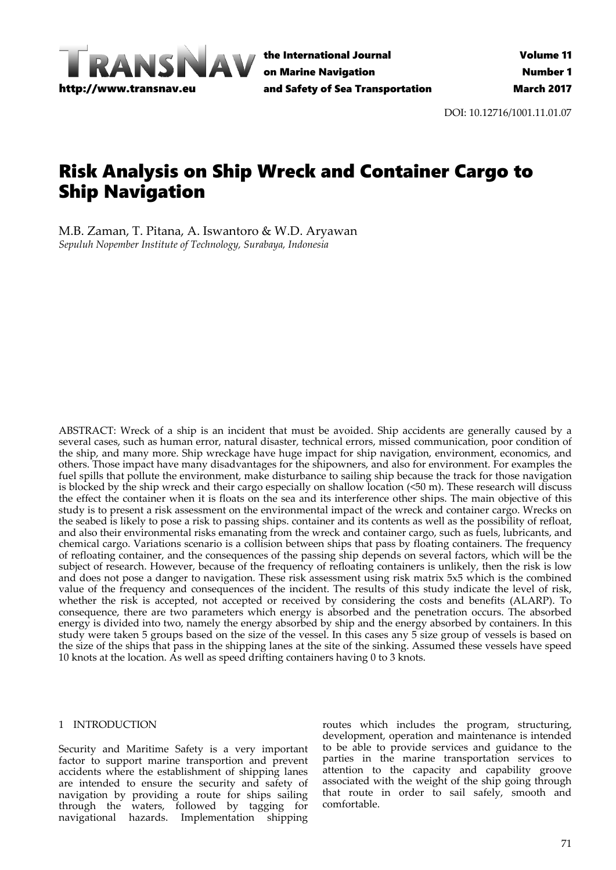

the International Journal on Marine Navigation and Safety of Sea Transportation

DOI: 10.12716/1001.11.01.07

# Risk Analysis on Ship Wreck and Container Cargo to Ship Navigation

M.B. Zaman, T. Pitana, A. Iswantoro & W.D. Aryawan *Sepuluh Nopember Institute of Technology, Surabaya, Indonesia*

ABSTRACT: Wreck of a ship is an incident that must be avoided. Ship accidents are generally caused by a several cases, such as human error, natural disaster, technical errors, missed communication, poor condition of the ship, and many more. Ship wreckage have huge impact for ship navigation, environment, economics, and others. Those impact have many disadvantages for the shipowners, and also for environment. For examples the fuel spills that pollute the environment, make disturbance to sailing ship because the track for those navigation is blocked by the ship wreck and their cargo especially on shallow location (<50 m). These research will discuss the effect the container when it is floats on the sea and its interference other ships. The main objective of this study is to present a risk assessment on the environmental impact of the wreck and container cargo. Wrecks on the seabed is likely to pose a risk to passing ships. container and its contents as well as the possibility of refloat, and also their environmental risks emanating from the wreck and container cargo, such as fuels, lubricants, and chemical cargo. Variations scenario is a collision between ships that pass by floating containers. The frequency of refloating container, and the consequences of the passing ship depends on several factors, which will be the subject of research. However, because of the frequency of refloating containers is unlikely, then the risk is low and does not pose a danger to navigation. These risk assessment using risk matrix 5x5 which is the combined value of the frequency and consequences of the incident. The results of this study indicate the level of risk, whether the risk is accepted, not accepted or received by considering the costs and benefits (ALARP). To consequence, there are two parameters which energy is absorbed and the penetration occurs. The absorbed energy is divided into two, namely the energy absorbed by ship and the energy absorbed by containers. In this study were taken 5 groups based on the size of the vessel. In this cases any 5 size group of vessels is based on the size of the ships that pass in the shipping lanes at the site of the sinking. Assumed these vessels have speed 10 knots at the location. As well as speed drifting containers having 0 to 3 knots.

#### 1 INTRODUCTION

Security and Maritime Safety is a very important factor to support marine transportion and prevent accidents where the establishment of shipping lanes are intended to ensure the security and safety of navigation by providing a route for ships sailing through the waters, followed by tagging for navigational hazards. Implementation shipping

routes which includes the program, structuring, development, operation and maintenance is intended to be able to provide services and guidance to the parties in the marine transportation services to attention to the capacity and capability groove associated with the weight of the ship going through that route in order to sail safely, smooth and comfortable.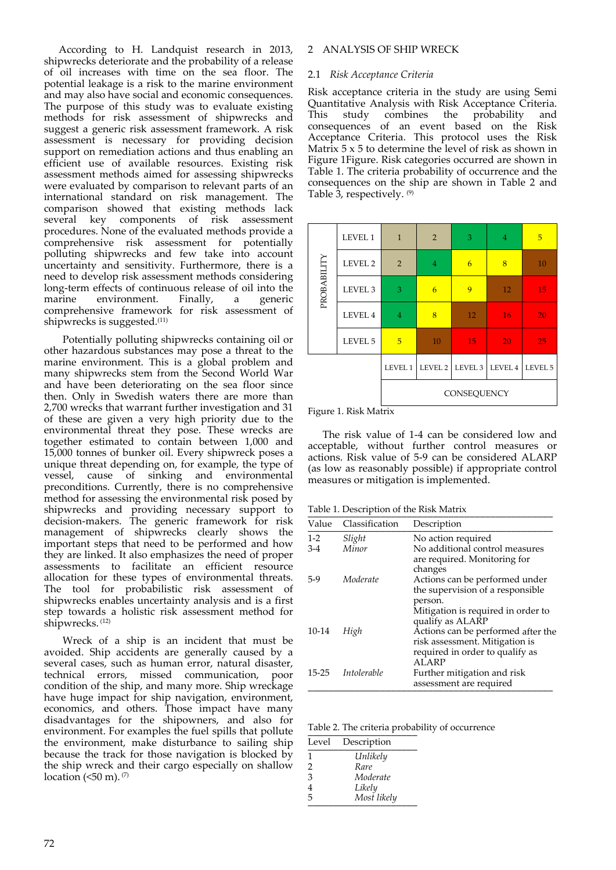According to H. Landquist research in 2013, shipwrecks deteriorate and the probability of a release of oil increases with time on the sea floor. The potential leakage is a risk to the marine environment and may also have social and economic consequences. The purpose of this study was to evaluate existing methods for risk assessment of shipwrecks and suggest a generic risk assessment framework. A risk assessment is necessary for providing decision support on remediation actions and thus enabling an efficient use of available resources. Existing risk assessment methods aimed for assessing shipwrecks were evaluated by comparison to relevant parts of an international standard on risk management. The comparison showed that existing methods lack several key components of risk assessment procedures. None of the evaluated methods provide a comprehensive risk assessment for potentially polluting shipwrecks and few take into account uncertainty and sensitivity. Furthermore, there is a need to develop risk assessment methods considering long‐term effects of continuous release of oil into the marine environment. Finally, a generic comprehensive framework for risk assessment of shipwrecks is suggested.<sup>(11)</sup>

Potentially polluting shipwrecks containing oil or other hazardous substances may pose a threat to the marine environment. This is a global problem and many shipwrecks stem from the Second World War and have been deteriorating on the sea floor since then. Only in Swedish waters there are more than 2,700 wrecks that warrant further investigation and 31 of these are given a very high priority due to the environmental threat they pose. These wrecks are together estimated to contain between 1,000 and 15,000 tonnes of bunker oil. Every shipwreck poses a unique threat depending on, for example, the type of vessel, cause of sinking and environmental preconditions. Currently, there is no comprehensive method for assessing the environmental risk posed by shipwrecks and providing necessary support to decision‐makers. The generic framework for risk management of shipwrecks clearly shows the important steps that need to be performed and how they are linked. It also emphasizes the need of proper assessments to facilitate an efficient resource allocation for these types of environmental threats. The tool for probabilistic risk assessment of shipwrecks enables uncertainty analysis and is a first step towards a holistic risk assessment method for shipwrecks. (12)

Wreck of a ship is an incident that must be avoided. Ship accidents are generally caused by a several cases, such as human error, natural disaster, technical errors, missed communication, poor condition of the ship, and many more. Ship wreckage have huge impact for ship navigation, environment, economics, and others. Those impact have many disadvantages for the shipowners, and also for environment. For examples the fuel spills that pollute the environment, make disturbance to sailing ship because the track for those navigation is blocked by the ship wreck and their cargo especially on shallow location ( $50$  m).  $(7)$ 

# 2 ANALYSIS OF SHIP WRECK

#### 2.1 *Risk Acceptance Criteria*

Risk acceptance criteria in the study are using Semi Quantitative Analysis with Risk Acceptance Criteria. This study combines the probability and consequences of an event based on the Risk Acceptance Criteria. This protocol uses the Risk Matrix  $5 \times 5$  to determine the level of risk as shown in Figure 1Figure. Risk categories occurred are shown in Table 1. The criteria probability of occurrence and the consequences on the ship are shown in Table 2 and Table  $\bar{3}$ , respectively.  $(9)$ 

|             |                    | LEVEL 1        | LEVEL 2 LEVEL 3 |    | LEVEL 4        | LEVEL 5 |
|-------------|--------------------|----------------|-----------------|----|----------------|---------|
|             |                    |                |                 |    |                |         |
|             | LEVEL 5            | 5              | 10              | 15 | 20             | 25      |
|             | LEVEL 4            | $\overline{4}$ | 8               | 12 | 16             | 20      |
| PROBABILITY | LEVEL <sub>3</sub> | 3              | $\overline{6}$  | 9  | 12             | 15      |
|             | LEVEL 2            | $\overline{2}$ | $\overline{4}$  | 6  | 8              | 10      |
|             | LEVEL 1            | $\mathbf{1}$   | $\overline{2}$  | 3  | $\overline{4}$ | 5       |

Figure 1. Risk Matrix

The risk value of 1-4 can be considered low and acceptable, without further control measures or actions. Risk value of 5‐9 can be considered ALARP (as low as reasonably possible) if appropriate control measures or mitigation is implemented.

Table 1. Description of the Risk Matrix

| Value     | Classification | Description                                            |
|-----------|----------------|--------------------------------------------------------|
| $1-2$     | Slight         | No action required                                     |
| $3-4$     | Minor          | No additional control measures                         |
|           |                | are required. Monitoring for                           |
|           |                | changes                                                |
| $5-9$     | Moderate       | Actions can be performed under                         |
|           |                | the supervision of a responsible                       |
|           |                | person.                                                |
|           |                | Mitigation is required in order to<br>qualify as ALARP |
| 10-14     | High           | Actions can be performed after the                     |
|           |                | risk assessment. Mitigation is                         |
|           |                | required in order to qualify as                        |
|           |                | ALARP                                                  |
| $15 - 25$ | Intolerable    | Further mitigation and risk                            |
|           |                | assessment are required                                |

Table 2. The criteria probability of occurrence

| Level | Description |
|-------|-------------|
| 1     | Unlikely    |
| 2     | Rare        |
| 3     | Moderate    |
| 4     | Likely      |
| 5     | Most likely |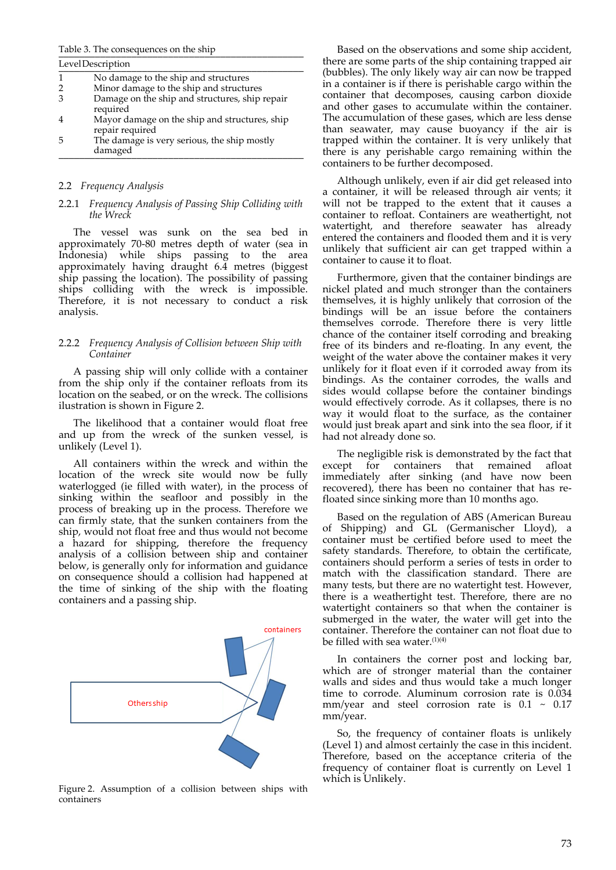#### Table 3. The consequences on the ship

|   | LevelDescription                                                 |
|---|------------------------------------------------------------------|
|   | No damage to the ship and structures                             |
|   | Minor damage to the ship and structures                          |
|   | Damage on the ship and structures, ship repair<br>required       |
|   | Mayor damage on the ship and structures, ship<br>repair required |
| h | The damage is very serious, the ship mostly<br>damaged           |

# 2.2 *Frequency Analysis*

#### 2.2.1 *Frequency Analysis of Passing Ship Colliding with the Wreck*

The vessel was sunk on the sea bed in approximately 70‐80 metres depth of water (sea in Indonesia) while ships passing to the area approximately having draught 6.4 metres (biggest ship passing the location). The possibility of passing ships colliding with the wreck is impossible. Therefore, it is not necessary to conduct a risk analysis.

#### 2.2.2 *Frequency Analysis of Collision between Ship with Container*

A passing ship will only collide with a container from the ship only if the container refloats from its location on the seabed, or on the wreck. The collisions ilustration is shown in Figure 2.

The likelihood that a container would float free and up from the wreck of the sunken vessel, is unlikely (Level 1).

All containers within the wreck and within the location of the wreck site would now be fully waterlogged (ie filled with water), in the process of sinking within the seafloor and possibly in the process of breaking up in the process. Therefore we can firmly state, that the sunken containers from the ship, would not float free and thus would not become a hazard for shipping, therefore the frequency analysis of a collision between ship and container below, is generally only for information and guidance on consequence should a collision had happened at the time of sinking of the ship with the floating containers and a passing ship.



Figure 2. Assumption of a collision between ships with containers

Based on the observations and some ship accident, there are some parts of the ship containing trapped air (bubbles). The only likely way air can now be trapped in a container is if there is perishable cargo within the container that decomposes, causing carbon dioxide and other gases to accumulate within the container. The accumulation of these gases, which are less dense than seawater, may cause buoyancy if the air is trapped within the container. It is very unlikely that there is any perishable cargo remaining within the containers to be further decomposed.

Although unlikely, even if air did get released into a container, it will be released through air vents; it will not be trapped to the extent that it causes a container to refloat. Containers are weathertight, not watertight, and therefore seawater has already entered the containers and flooded them and it is very unlikely that sufficient air can get trapped within a container to cause it to float.

Furthermore, given that the container bindings are nickel plated and much stronger than the containers themselves, it is highly unlikely that corrosion of the bindings will be an issue before the containers themselves corrode. Therefore there is very little chance of the container itself corroding and breaking free of its binders and re‐floating. In any event, the weight of the water above the container makes it very unlikely for it float even if it corroded away from its bindings. As the container corrodes, the walls and sides would collapse before the container bindings would effectively corrode. As it collapses, there is no way it would float to the surface, as the container would just break apart and sink into the sea floor, if it had not already done so.

The negligible risk is demonstrated by the fact that except for containers that remained afloat immediately after sinking (and have now been recovered), there has been no container that has re‐ floated since sinking more than 10 months ago.

Based on the regulation of ABS (American Bureau of Shipping) and GL (Germanischer Lloyd), a container must be certified before used to meet the safety standards. Therefore, to obtain the certificate, containers should perform a series of tests in order to match with the classification standard. There are many tests, but there are no watertight test. However, there is a weathertight test. Therefore, there are no watertight containers so that when the container is submerged in the water, the water will get into the container. Therefore the container can not float due to be filled with sea water.<sup>(1)(4)</sup>

In containers the corner post and locking bar, which are of stronger material than the container walls and sides and thus would take a much longer time to corrode. Aluminum corrosion rate is 0.034 mm/year and steel corrosion rate is  $0.1 \sim 0.17$ mm/year.

So, the frequency of container floats is unlikely (Level 1) and almost certainly the case in this incident. Therefore, based on the acceptance criteria of the frequency of container float is currently on Level 1 which is Unlikely.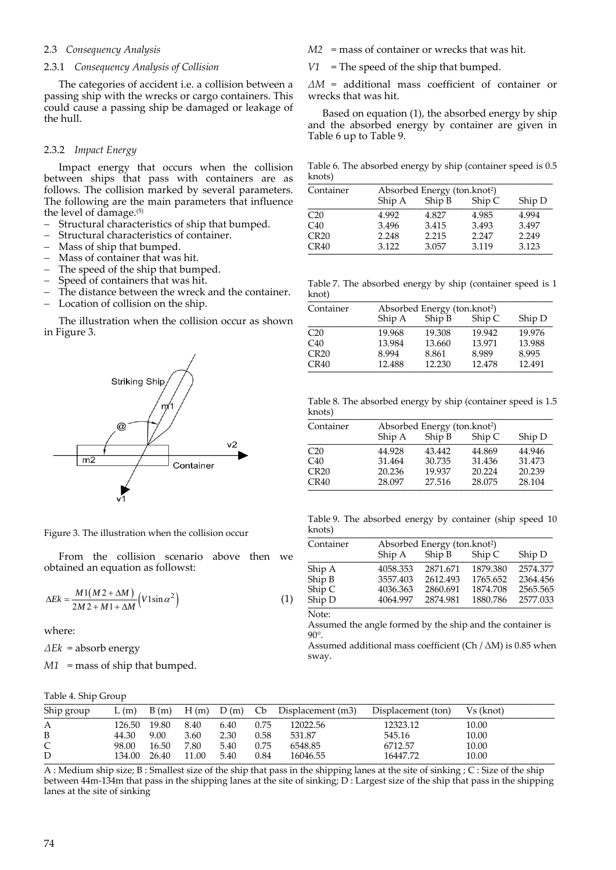# 2.3 *Consequency Analysis*

#### 2.3.1 *Consequency Analysis of Collision*

The categories of accident i.e. a collision between a passing ship with the wrecks or cargo containers. This could cause a passing ship be damaged or leakage of the hull.

#### 2.3.2 *Impact Energy*

Impact energy that occurs when the collision between ships that pass with containers are as follows. The collision marked by several parameters. The following are the main parameters that influence the level of damage.(5)

- Structural characteristics of ship that bumped.<br>- Structural characteristics of container
- Structural characteristics of container.
- Mass of ship that bumped.
- $-$  Mass of container that was hit.<br> $-$  The speed of the ship that bum
- The speed of the ship that bumped.
- Speed of containers that was hit.
- The distance between the wreck and the container.
- Location of collision on the ship.

The illustration when the collision occur as shown in Figure 3.



Figure 3. The illustration when the collision occur

From the collision scenario above then we obtained an equation as followst:

$$
\Delta E k = \frac{M1(M2 + \Delta M)}{2M2 + M1 + \Delta M} (V1\sin\alpha^2)
$$
 (1)

where:

*ΔEk* = absorb energy

*M1* = mass of ship that bumped.

- *M2* = mass of container or wrecks that was hit.
- *V1* = The speed of the ship that bumped.

*ΔM* = additional mass coefficient of container or wrecks that was hit.

Based on equation (1), the absorbed energy by ship and the absorbed energy by container are given in Table 6 up to Table 9.

Table 6. The absorbed energy by ship (container speed is 0.5 knots) \_\_\_\_\_\_\_\_\_\_\_\_\_\_\_\_\_\_\_\_\_\_\_\_\_\_\_\_\_\_\_\_\_\_\_\_\_\_\_\_\_\_\_\_\_\_\_

| Container       | Absorbed Energy (ton.knot <sup>2</sup> ) |        |        |        |  |  |  |  |
|-----------------|------------------------------------------|--------|--------|--------|--|--|--|--|
|                 | Ship A                                   | Ship B | Ship C | Ship D |  |  |  |  |
| C <sub>20</sub> | 4.992                                    | 4.827  | 4.985  | 4.994  |  |  |  |  |
| C40             | 3.496                                    | 3.415  | 3.493  | 3.497  |  |  |  |  |
| CR20            | 2.248                                    | 2.215  | 2.247  | 2.249  |  |  |  |  |
| CR40            | 3.122                                    | 3.057  | 3.119  | 3.123  |  |  |  |  |

Table 7. The absorbed energy by ship (container speed is 1 knot) \_\_\_\_\_\_\_\_\_\_\_\_\_\_\_\_\_\_\_\_\_\_\_\_\_\_\_\_\_\_\_\_\_\_\_\_\_\_\_\_\_\_\_\_\_\_\_

| Container       | Absorbed Energy (ton.knot <sup>2</sup> ) |        |        |        |  |  |  |  |
|-----------------|------------------------------------------|--------|--------|--------|--|--|--|--|
|                 | Ship A                                   | Ship B | Ship C | Ship D |  |  |  |  |
| C <sub>20</sub> | 19.968                                   | 19.308 | 19.942 | 19.976 |  |  |  |  |
| C40             | 13.984                                   | 13.660 | 13.971 | 13.988 |  |  |  |  |
| CR20            | 8.994                                    | 8.861  | 8.989  | 8.995  |  |  |  |  |
| CR40            | 12.488                                   | 12.230 | 12.478 | 12.491 |  |  |  |  |

Table 8. The absorbed energy by ship (container speed is 1.5 knots) \_\_\_\_\_\_\_\_\_\_\_\_\_\_\_\_\_\_\_\_\_\_\_\_\_\_\_\_\_\_\_\_\_\_\_\_\_\_\_\_\_\_\_\_\_\_\_

| Container | Absorbed Energy (ton.knot <sup>2</sup> ) |        |        |        |  |  |
|-----------|------------------------------------------|--------|--------|--------|--|--|
|           | Ship A                                   | Ship B | Ship C | Ship D |  |  |
| C20       | 44.928                                   | 43.442 | 44.869 | 44.946 |  |  |
| C40       | 31.464                                   | 30.735 | 31.436 | 31.473 |  |  |
| CR20      | 20.236                                   | 19.937 | 20.224 | 20.239 |  |  |
| CR40      | 28.097                                   | 27.516 | 28.075 | 28.104 |  |  |

Table 9. The absorbed energy by container (ship speed 10 knots) \_\_\_\_\_\_\_\_\_\_\_\_\_\_\_\_\_\_\_\_\_\_\_\_\_\_\_\_\_\_\_\_\_\_\_\_\_\_\_\_\_\_\_\_\_\_\_

| Container | Absorbed Energy (ton.knot <sup>2</sup> ) |          |          |          |  |  |  |
|-----------|------------------------------------------|----------|----------|----------|--|--|--|
|           | Ship A                                   | Ship B   | Ship C   | Ship D   |  |  |  |
| Ship A    | 4058.353                                 | 2871.671 | 1879.380 | 2574.377 |  |  |  |
| Ship B    | 3557.403                                 | 2612.493 | 1765.652 | 2364.456 |  |  |  |
| Ship C    | 4036.363                                 | 2860.691 | 1874.708 | 2565.565 |  |  |  |
| Ship D    | 4064.997                                 | 2874.981 | 1880.786 | 2577.033 |  |  |  |
| Note:     |                                          |          |          |          |  |  |  |

Assumed the angle formed by the ship and the container is  $90^\circ$ 

Assumed additional mass coefficient (Ch  $/$   $\Delta$ M) is 0.85 when sway.

| Table 4. Ship Group |        |       |               |      |                |                   |                    |           |
|---------------------|--------|-------|---------------|------|----------------|-------------------|--------------------|-----------|
| Ship group          | L(m)   | B(m)  | $H(m)$ $D(m)$ |      | C <sub>b</sub> | Displacement (m3) | Displacement (ton) | Vs (knot) |
| А                   | 126.50 | 19.80 | 8.40          | 6.40 | 0.75           | 12022.56          | 12323.12           | 10.00     |
| B                   | 44.30  | 9.00  | 3.60          | 2.30 | 0.58           | 531.87            | 545.16             | 10.00     |
| C                   | 98.00  | 16.50 | 7.80          | 5.40 | 0.75           | 6548.85           | 6712.57            | 10.00     |
| D                   | 134.00 | 26.40 | 11.00         | 5.40 | 0.84           | 16046.55          | 16447.72           | 10.00     |

A : Medium ship size; B : Smallest size of the ship that pass in the shipping lanes at the site of sinking ; C : Size of the ship between 44m-134m that pass in the shipping lanes at the site of sinking; D: Largest size of the ship that pass in the shipping lanes at the site of sinking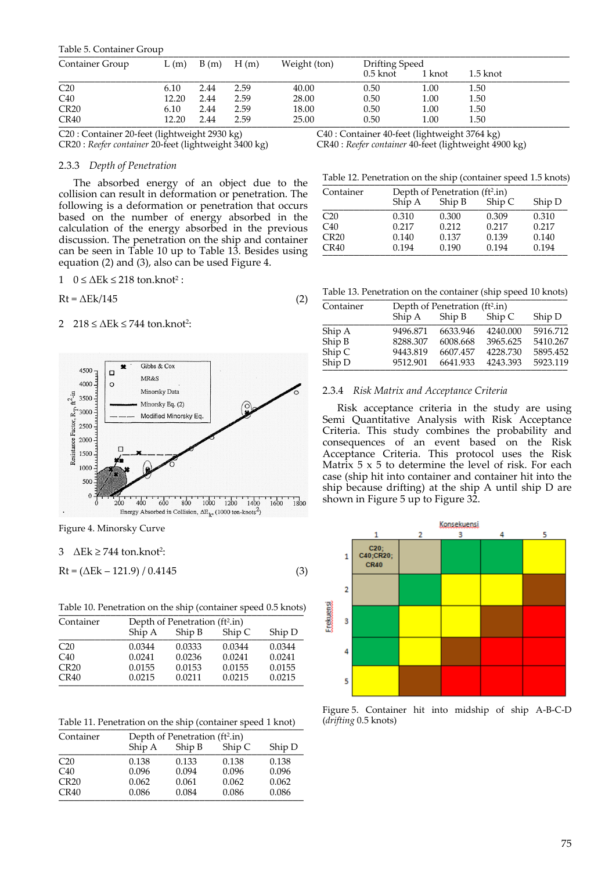|  | Table 5. Container Group |  |
|--|--------------------------|--|
|--|--------------------------|--|

| Table 5. Container Group |       |      |      |              |          |                |          |  |
|--------------------------|-------|------|------|--------------|----------|----------------|----------|--|
| Container Group          | L(m)  | B(m) | H(m) | Weight (ton) |          | Drifting Speed |          |  |
|                          |       |      |      |              | 0.5 knot | 1 knot         | 1.5 knot |  |
| C <sub>20</sub>          | 6.10  | 2.44 | 2.59 | 40.00        | 0.50     | 1.00           | 1.50     |  |
| C40                      | 12.20 | 2.44 | 2.59 | 28.00        | 0.50     | 1.00           | 1.50     |  |
| CR20                     | 6.10  | 2.44 | 2.59 | 18.00        | 0.50     | 1.00           | 1.50     |  |
| CR40                     | 12.20 | 2.44 | 2.59 | 25.00        | 0.50     | $1.00\,$       | 1.50     |  |

C20 : Container 20‐feet (lightweight 2930 kg) C40 : Container 40‐feet (lightweight 3764 kg)<br>CR20 : Reefer container 20‐feet (lightweight 3400 kg) CR40 : Reefer container 40‐feet (lightweight 49 CR20 : *Reefer container* 20‐feet (lightweight 3400 kg) CR40 : *Reefer container* 40‐feet (lightweight 4900 kg)

# 2.3.3 *Depth of Penetration*

The absorbed energy of an object due to the collision can result in deformation or penetration. The following is a deformation or penetration that occurs based on the number of energy absorbed in the calculation of the energy absorbed in the previous discussion. The penetration on the ship and container can be seen in Table 10 up to Table 13. Besides using equation (2) and (3), also can be used Figure 4.

$$
0 \le \Delta Ek \le 218
$$
 ton.knot<sup>2</sup>:

$$
Rt = \Delta E k / 145 \tag{2}
$$

# 2  $218 \le \Delta E$ k  $\le 744$  ton.knot<sup>2</sup>:



Figure 4. Minorsky Curve

# $3$   $\Delta$ Ek  $\geq$  744 ton.knot<sup>2</sup>:

$$
Rt = (\Delta Ek - 121.9) / 0.4145
$$
 (3)

Table 10. Penetration on the ship (container speed 0.5 knots)

| Container       | Depth of Penetration (ft <sup>2</sup> .in) |        |        |        |  |  |  |  |
|-----------------|--------------------------------------------|--------|--------|--------|--|--|--|--|
|                 | Ship A                                     | Ship B | Ship C | Ship D |  |  |  |  |
| C <sub>20</sub> | 0.0344                                     | 0.0333 | 0.0344 | 0.0344 |  |  |  |  |
| C40             | 0.0241                                     | 0.0236 | 0.0241 | 0.0241 |  |  |  |  |
| CR20            | 0.0155                                     | 0.0153 | 0.0155 | 0.0155 |  |  |  |  |
| CR40            | 0.0215                                     | 0.0211 | 0.0215 | 0.0215 |  |  |  |  |

Table 11. Penetration on the ship (container speed 1 knot)

| Container       | Depth of Penetration (ft <sup>2</sup> .in) |        |        |        |  |
|-----------------|--------------------------------------------|--------|--------|--------|--|
|                 | Ship A                                     | Ship B | Ship C | Ship D |  |
| C <sub>20</sub> | 0.138                                      | 0.133  | 0.138  | 0.138  |  |
| C40             | 0.096                                      | 0.094  | 0.096  | 0.096  |  |
| CR20            | 0.062                                      | 0.061  | 0.062  | 0.062  |  |
| CR40            | 0.086                                      | 0.084  | 0.086  | 0.086  |  |

Table 12. Penetration on the ship (container speed 1.5 knots)

| Container       | Depth of Penetration (ft <sup>2</sup> .in) |        |        |        |  |
|-----------------|--------------------------------------------|--------|--------|--------|--|
|                 | Ship A                                     | Ship B | Ship C | Ship D |  |
| C <sub>20</sub> | 0.310                                      | 0.300  | 0.309  | 0.310  |  |
| C <sub>40</sub> | 0.217                                      | 0.212  | 0.217  | 0.217  |  |
| CR20            | 0.140                                      | 0.137  | 0.139  | 0.140  |  |
| CR40            | 0.194                                      | 0.190  | 0.194  | 0.194  |  |

Table 13. Penetration on the container (ship speed 10 knots)

| Container | Depth of Penetration (ft <sup>2</sup> .in) |          |          |          |  |
|-----------|--------------------------------------------|----------|----------|----------|--|
|           | Ship A                                     | Ship B   | Ship C   | Ship D   |  |
| Ship A    | 9496.871                                   | 6633.946 | 4240.000 | 5916.712 |  |
| Ship B    | 8288.307                                   | 6008.668 | 3965.625 | 5410.267 |  |
| Ship C    | 9443.819                                   | 6607.457 | 4228.730 | 5895.452 |  |
| Ship D    | 9512.901                                   | 6641.933 | 4243.393 | 5923.119 |  |

#### 2.3.4 *Risk Matrix and Acceptance Criteria*

Risk acceptance criteria in the study are using Semi Quantitative Analysis with Risk Acceptance Criteria. This study combines the probability and consequences of an event based on the Risk Acceptance Criteria. This protocol uses the Risk Matrix  $5 \times 5$  to determine the level of risk. For each case (ship hit into container and container hit into the ship because drifting) at the ship A until ship D are shown in Figure 5 up to Figure 32.



Figure 5. Container hit into midship of ship A‐B‐C‐D (*drifting* 0.5 knots)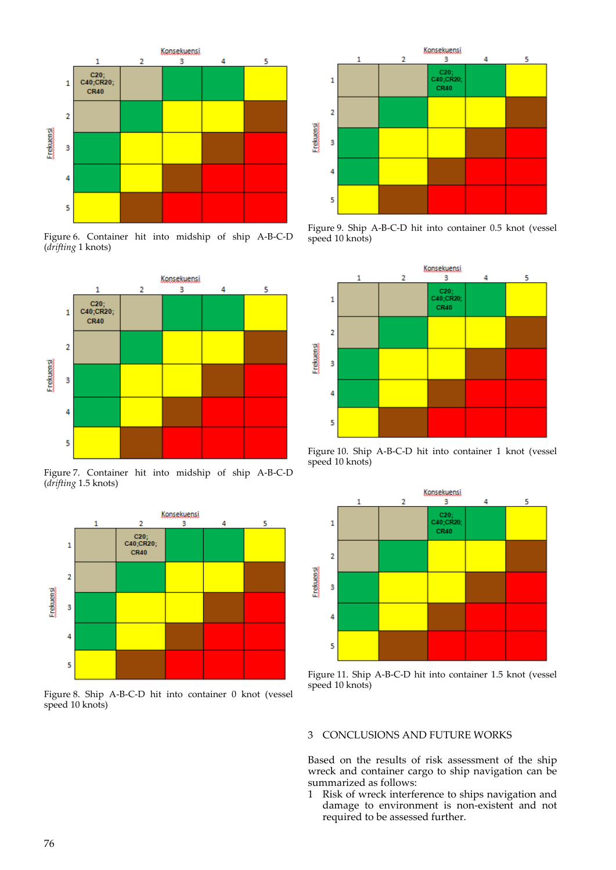

Figure 6. Container hit into midship of ship A‐B‐C‐D (*drifting* 1 knots)



Figure 7. Container hit into midship of ship A‐B‐C‐D (*drifting* 1.5 knots)



Figure 8. Ship A‐B‐C‐D hit into container 0 knot (vessel speed 10 knots)



Figure 9. Ship A‐B‐C‐D hit into container 0.5 knot (vessel speed 10 knots)



Figure 10. Ship A‐B‐C‐D hit into container 1 knot (vessel speed 10 knots)



Figure 11. Ship A‐B‐C‐D hit into container 1.5 knot (vessel speed 10 knots)

# 3 CONCLUSIONS AND FUTURE WORKS

Based on the results of risk assessment of the ship wreck and container cargo to ship navigation can be summarized as follows:

1 Risk of wreck interference to ships navigation and damage to environment is non‐existent and not required to be assessed further.